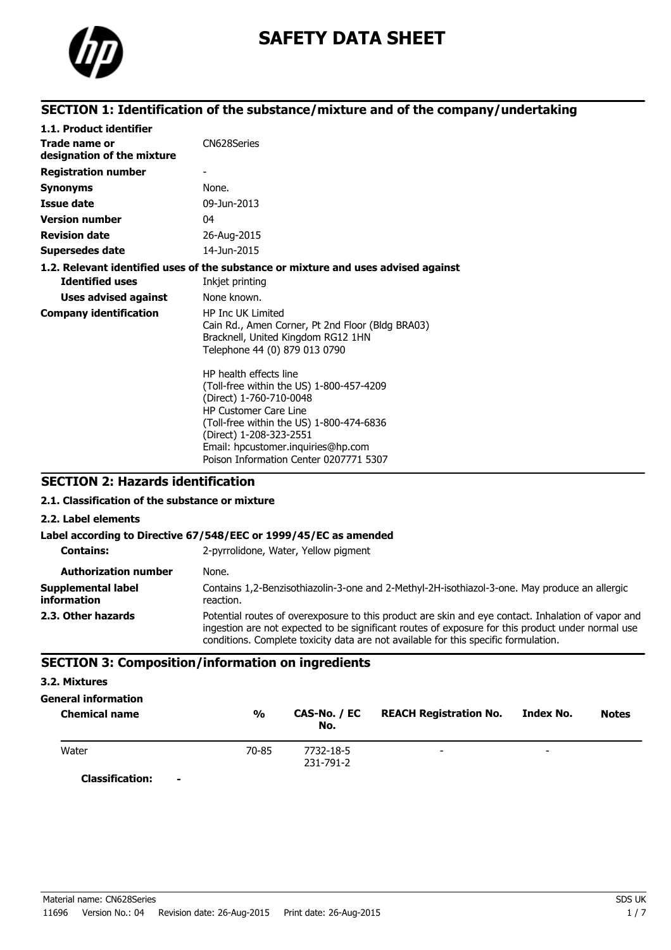

# **SAFETY DATA SHEET**

# **SECTION 1: Identification of the substance/mixture and of the company/undertaking**

| 1.1. Product identifier                     |                                                                                                                                                                                                                                                                                      |
|---------------------------------------------|--------------------------------------------------------------------------------------------------------------------------------------------------------------------------------------------------------------------------------------------------------------------------------------|
| Trade name or<br>designation of the mixture | CN628Series                                                                                                                                                                                                                                                                          |
| <b>Registration number</b>                  |                                                                                                                                                                                                                                                                                      |
| <b>Synonyms</b>                             | None.                                                                                                                                                                                                                                                                                |
| <b>Issue date</b>                           | 09-Jun-2013                                                                                                                                                                                                                                                                          |
| <b>Version number</b>                       | 04                                                                                                                                                                                                                                                                                   |
| <b>Revision date</b>                        | 26-Aug-2015                                                                                                                                                                                                                                                                          |
| <b>Supersedes date</b>                      | 14-Jun-2015                                                                                                                                                                                                                                                                          |
|                                             | 1.2. Relevant identified uses of the substance or mixture and uses advised against                                                                                                                                                                                                   |
| <b>Identified uses</b>                      | Inkjet printing                                                                                                                                                                                                                                                                      |
| <b>Uses advised against</b>                 | None known.                                                                                                                                                                                                                                                                          |
| <b>Company identification</b>               | <b>HP Inc UK Limited</b><br>Cain Rd., Amen Corner, Pt 2nd Floor (Bldg BRA03)<br>Bracknell, United Kingdom RG12 1HN<br>Telephone 44 (0) 879 013 0790                                                                                                                                  |
|                                             | HP health effects line<br>(Toll-free within the US) 1-800-457-4209<br>(Direct) 1-760-710-0048<br><b>HP Customer Care Line</b><br>(Toll-free within the US) 1-800-474-6836<br>(Direct) 1-208-323-2551<br>Email: hpcustomer.inquiries@hp.com<br>Poison Information Center 0207771 5307 |

### **SECTION 2: Hazards identification**

#### **2.1. Classification of the substance or mixture**

**2.2. Label elements**

#### **Label according to Directive 67/548/EEC or 1999/45/EC as amended**

| <b>Contains:</b>                  | 2-pyrrolidone, Water, Yellow pigment                                                                                                                                                                                                                                                           |
|-----------------------------------|------------------------------------------------------------------------------------------------------------------------------------------------------------------------------------------------------------------------------------------------------------------------------------------------|
| <b>Authorization number</b>       | None.                                                                                                                                                                                                                                                                                          |
| Supplemental label<br>information | Contains 1,2-Benzisothiazolin-3-one and 2-Methyl-2H-isothiazol-3-one. May produce an allergic<br>reaction.                                                                                                                                                                                     |
| 2.3. Other hazards                | Potential routes of overexposure to this product are skin and eye contact. Inhalation of vapor and<br>ingestion are not expected to be significant routes of exposure for this product under normal use<br>conditions. Complete toxicity data are not available for this specific formulation. |

#### **SECTION 3: Composition/information on ingredients**

#### **3.2. Mixtures**

# **General information**

| <b>Chemical name</b>     | $\frac{0}{0}$ | CAS-No. / EC<br>No. | <b>REACH Registration No.</b> | Index No.                | <b>Notes</b> |
|--------------------------|---------------|---------------------|-------------------------------|--------------------------|--------------|
| Water                    | 70-85         | 7732-18-5           | $\overline{\phantom{0}}$      | $\overline{\phantom{0}}$ |              |
| $C = -1C - 1C - 1C - 1C$ |               | 231-791-2           |                               |                          |              |

**Classification: -**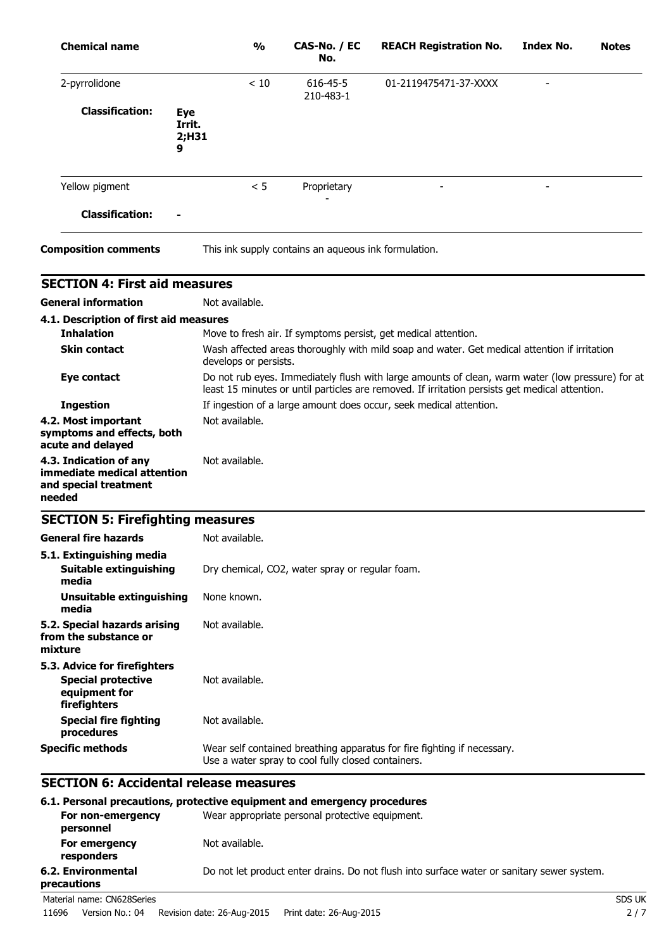| <b>Chemical name</b>                                                                       | $\frac{0}{0}$         | CAS-No. / EC<br>No.                                  | <b>REACH Registration No.</b>                                                                                                                                                                      | Index No. | <b>Notes</b> |
|--------------------------------------------------------------------------------------------|-----------------------|------------------------------------------------------|----------------------------------------------------------------------------------------------------------------------------------------------------------------------------------------------------|-----------|--------------|
| 2-pyrrolidone                                                                              | < 10                  | 616-45-5<br>210-483-1                                | 01-2119475471-37-XXXX                                                                                                                                                                              |           |              |
| <b>Classification:</b><br><b>Eye</b><br>Irrit.<br>2;H31<br>9                               |                       |                                                      |                                                                                                                                                                                                    |           |              |
| Yellow pigment                                                                             | < 5                   | Proprietary                                          |                                                                                                                                                                                                    |           |              |
| <b>Classification:</b>                                                                     |                       |                                                      |                                                                                                                                                                                                    |           |              |
| <b>Composition comments</b>                                                                |                       | This ink supply contains an aqueous ink formulation. |                                                                                                                                                                                                    |           |              |
| <b>SECTION 4: First aid measures</b>                                                       |                       |                                                      |                                                                                                                                                                                                    |           |              |
| <b>General information</b>                                                                 | Not available.        |                                                      |                                                                                                                                                                                                    |           |              |
| 4.1. Description of first aid measures                                                     |                       |                                                      |                                                                                                                                                                                                    |           |              |
| <b>Inhalation</b>                                                                          |                       |                                                      | Move to fresh air. If symptoms persist, get medical attention.                                                                                                                                     |           |              |
| <b>Skin contact</b>                                                                        | develops or persists. |                                                      | Wash affected areas thoroughly with mild soap and water. Get medical attention if irritation                                                                                                       |           |              |
| <b>Eye contact</b>                                                                         |                       |                                                      | Do not rub eyes. Immediately flush with large amounts of clean, warm water (low pressure) for at<br>least 15 minutes or until particles are removed. If irritation persists get medical attention. |           |              |
| <b>Ingestion</b>                                                                           |                       |                                                      | If ingestion of a large amount does occur, seek medical attention.                                                                                                                                 |           |              |
| 4.2. Most important<br>symptoms and effects, both<br>acute and delayed                     | Not available.        |                                                      |                                                                                                                                                                                                    |           |              |
| 4.3. Indication of any<br>immediate medical attention<br>and special treatment<br>needed   | Not available.        |                                                      |                                                                                                                                                                                                    |           |              |
| <b>SECTION 5: Firefighting measures</b>                                                    |                       |                                                      |                                                                                                                                                                                                    |           |              |
| <b>General fire hazards</b>                                                                | Not available.        |                                                      |                                                                                                                                                                                                    |           |              |
| 5.1. Extinguishing media<br><b>Suitable extinguishing</b><br>media                         |                       | Dry chemical, CO2, water spray or regular foam.      |                                                                                                                                                                                                    |           |              |
| <b>Unsuitable extinguishing</b><br>media                                                   | None known.           |                                                      |                                                                                                                                                                                                    |           |              |
| 5.2. Special hazards arising<br>from the substance or<br>mixture                           | Not available.        |                                                      |                                                                                                                                                                                                    |           |              |
| 5.3. Advice for firefighters<br><b>Special protective</b><br>equipment for<br>firefighters | Not available.        |                                                      |                                                                                                                                                                                                    |           |              |
| <b>Special fire fighting</b><br>procedures                                                 | Not available.        |                                                      |                                                                                                                                                                                                    |           |              |
| <b>Specific methods</b>                                                                    |                       | Use a water spray to cool fully closed containers.   | Wear self contained breathing apparatus for fire fighting if necessary.                                                                                                                            |           |              |

#### **6.1. Personal precautions, protective equipment and emergency procedures**

| For non-emergency<br>personnel    | Wear appropriate personal protective equipment.                                            |        |
|-----------------------------------|--------------------------------------------------------------------------------------------|--------|
| For emergency<br>responders       | Not available.                                                                             |        |
| 6.2. Environmental<br>precautions | Do not let product enter drains. Do not flush into surface water or sanitary sewer system. |        |
| Material name: CN628Series        |                                                                                            | SDS UK |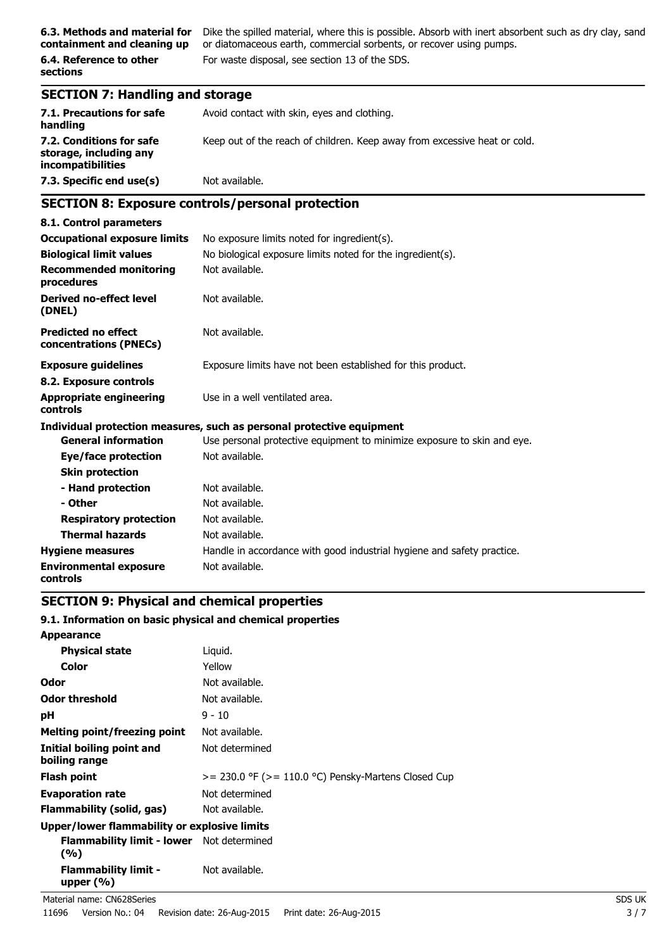**containment and cleaning up**

**6.4. Reference to other sections**

**6.3. Methods and material for** Dike the spilled material, where this is possible. Absorb with inert absorbent such as dry clay, sand or diatomaceous earth, commercial sorbents, or recover using pumps. For waste disposal, see section 13 of the SDS.

# **SECTION 7: Handling and storage**

| 7.1. Precautions for safe<br>handling                                   | Avoid contact with skin, eyes and clothing.                               |
|-------------------------------------------------------------------------|---------------------------------------------------------------------------|
| 7.2. Conditions for safe<br>storage, including any<br>incompatibilities | Keep out of the reach of children. Keep away from excessive heat or cold. |
| 7.3. Specific end use(s)                                                | Not available.                                                            |

# **SECTION 8: Exposure controls/personal protection**

| 8.1. Control parameters                              |                                                                         |
|------------------------------------------------------|-------------------------------------------------------------------------|
| <b>Occupational exposure limits</b>                  | No exposure limits noted for ingredient(s).                             |
| <b>Biological limit values</b>                       | No biological exposure limits noted for the ingredient(s).              |
| <b>Recommended monitoring</b><br>procedures          | Not available.                                                          |
| <b>Derived no-effect level</b><br>(DNEL)             | Not available.                                                          |
| <b>Predicted no effect</b><br>concentrations (PNECs) | Not available.                                                          |
| <b>Exposure guidelines</b>                           | Exposure limits have not been established for this product.             |
| 8.2. Exposure controls                               |                                                                         |
| <b>Appropriate engineering</b><br>controls           | Use in a well ventilated area.                                          |
|                                                      | Individual protection measures, such as personal protective equipment   |
| <b>General information</b>                           | Use personal protective equipment to minimize exposure to skin and eye. |
| Eye/face protection                                  | Not available.                                                          |
| <b>Skin protection</b>                               |                                                                         |
| - Hand protection                                    | Not available.                                                          |
| - Other                                              | Not available.                                                          |
| <b>Respiratory protection</b>                        | Not available.                                                          |
| <b>Thermal hazards</b>                               | Not available.                                                          |
| <b>Hygiene measures</b>                              | Handle in accordance with good industrial hygiene and safety practice.  |
| <b>Environmental exposure</b><br>controls            | Not available.                                                          |

# **SECTION 9: Physical and chemical properties**

#### **9.1. Information on basic physical and chemical properties**

| <b>Appearance</b>                                       |                                                          |
|---------------------------------------------------------|----------------------------------------------------------|
| <b>Physical state</b>                                   | Liquid.                                                  |
| Color                                                   | Yellow                                                   |
| <b>Odor</b>                                             | Not available.                                           |
| <b>Odor threshold</b>                                   | Not available.                                           |
| рH                                                      | $9 - 10$                                                 |
| <b>Melting point/freezing point</b>                     | Not available.                                           |
| Initial boiling point and<br>boiling range              | Not determined                                           |
| <b>Flash point</b>                                      | $>= 230.0$ °F ( $>= 110.0$ °C) Pensky-Martens Closed Cup |
| <b>Evaporation rate</b>                                 | Not determined                                           |
| Flammability (solid, gas)                               | Not available.                                           |
| Upper/lower flammability or explosive limits            |                                                          |
| <b>Flammability limit - lower</b> Not determined<br>(%) |                                                          |
| <b>Flammability limit -</b><br>upper $(% )$             | Not available.                                           |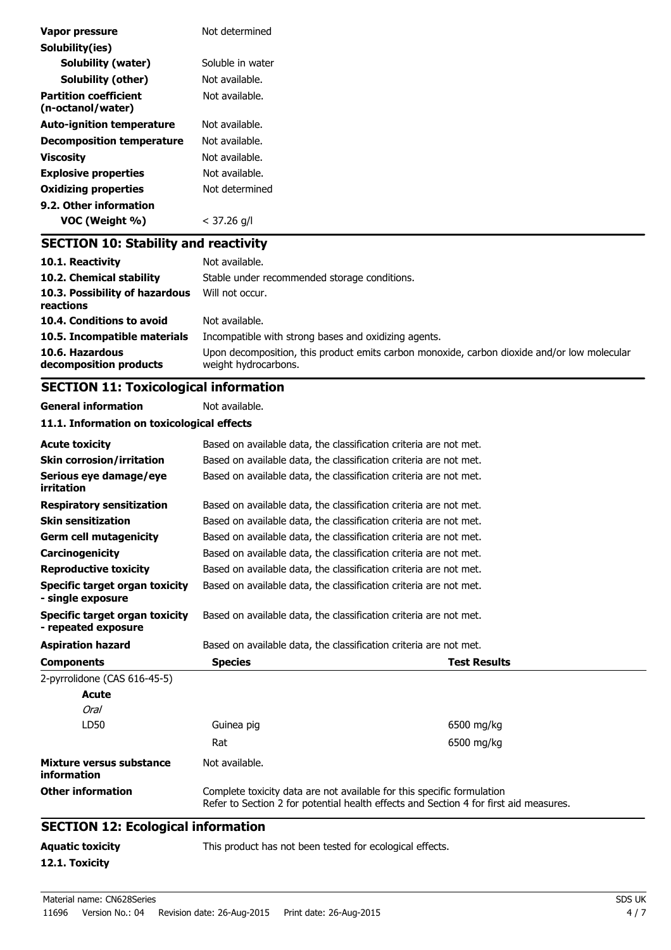| Vapor pressure                                    | Not determined                               |
|---------------------------------------------------|----------------------------------------------|
| Solubility(ies)                                   |                                              |
| <b>Solubility (water)</b>                         | Soluble in water                             |
| Solubility (other)                                | Not available.                               |
| <b>Partition coefficient</b><br>(n-octanol/water) | Not available.                               |
| <b>Auto-ignition temperature</b>                  | Not available.                               |
| <b>Decomposition temperature</b>                  | Not available.                               |
| <b>Viscosity</b>                                  | Not available.                               |
| <b>Explosive properties</b>                       | Not available.                               |
| <b>Oxidizing properties</b>                       | Not determined                               |
| 9.2. Other information                            |                                              |
| VOC (Weight %)                                    | $<$ 37.26 g/l                                |
| <b>SECTION 10: Stability and reactivity</b>       |                                              |
| 10.1. Reactivity                                  | Not available.                               |
| 10.2. Chemical stability                          | Stable under recommended storage conditions. |
| 10.3. Possibility of hazardous<br>reactions       | Will not occur.                              |

| 10.4. Conditions to avoid    | Not available.                                                                              |
|------------------------------|---------------------------------------------------------------------------------------------|
| 10.5. Incompatible materials | Incompatible with strong bases and oxidizing agents.                                        |
| 10.6. Hazardous              | Upon decomposition, this product emits carbon monoxide, carbon dioxide and/or low molecular |
| decomposition products       | weight hydrocarbons.                                                                        |

# **SECTION 11: Toxicological information**

**General information** Not available.

**12.1. Toxicity**

|  |  | 11.1. Information on toxicological effects |  |  |  |  |
|--|--|--------------------------------------------|--|--|--|--|
|--|--|--------------------------------------------|--|--|--|--|

| <b>Aquatic toxicity</b>                               | This product has not been tested for ecological effects.                                                                                                        |  |                     |  |  |
|-------------------------------------------------------|-----------------------------------------------------------------------------------------------------------------------------------------------------------------|--|---------------------|--|--|
| <b>SECTION 12: Ecological information</b>             |                                                                                                                                                                 |  |                     |  |  |
| <b>Other information</b>                              | Complete toxicity data are not available for this specific formulation<br>Refer to Section 2 for potential health effects and Section 4 for first aid measures. |  |                     |  |  |
| Mixture versus substance<br>information               | Not available.                                                                                                                                                  |  |                     |  |  |
|                                                       | Rat                                                                                                                                                             |  | 6500 mg/kg          |  |  |
| LD50                                                  | Guinea pig                                                                                                                                                      |  | 6500 mg/kg          |  |  |
| Oral                                                  |                                                                                                                                                                 |  |                     |  |  |
| Acute                                                 |                                                                                                                                                                 |  |                     |  |  |
| 2-pyrrolidone (CAS 616-45-5)                          |                                                                                                                                                                 |  |                     |  |  |
| <b>Components</b>                                     | <b>Species</b>                                                                                                                                                  |  | <b>Test Results</b> |  |  |
| <b>Aspiration hazard</b>                              | Based on available data, the classification criteria are not met.                                                                                               |  |                     |  |  |
| Specific target organ toxicity<br>- repeated exposure | Based on available data, the classification criteria are not met.                                                                                               |  |                     |  |  |
| Specific target organ toxicity<br>- single exposure   | Based on available data, the classification criteria are not met.                                                                                               |  |                     |  |  |
| <b>Reproductive toxicity</b>                          | Based on available data, the classification criteria are not met.                                                                                               |  |                     |  |  |
| Carcinogenicity                                       | Based on available data, the classification criteria are not met.                                                                                               |  |                     |  |  |
| <b>Germ cell mutagenicity</b>                         | Based on available data, the classification criteria are not met.                                                                                               |  |                     |  |  |
| <b>Skin sensitization</b>                             | Based on available data, the classification criteria are not met.                                                                                               |  |                     |  |  |
| <b>Respiratory sensitization</b>                      | Based on available data, the classification criteria are not met.                                                                                               |  |                     |  |  |
| Serious eye damage/eye<br>irritation                  | Based on available data, the classification criteria are not met.                                                                                               |  |                     |  |  |
| <b>Skin corrosion/irritation</b>                      | Based on available data, the classification criteria are not met.                                                                                               |  |                     |  |  |
| <b>Acute toxicity</b>                                 | Based on available data, the classification criteria are not met.                                                                                               |  |                     |  |  |
|                                                       |                                                                                                                                                                 |  |                     |  |  |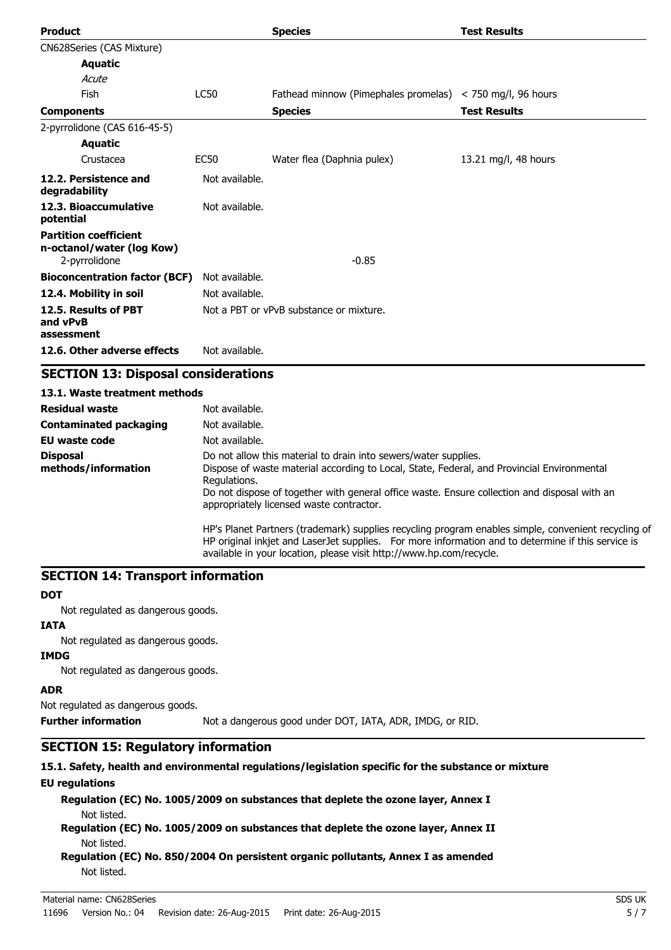| <b>Product</b>                                                             |                | <b>Species</b>                                                    | <b>Test Results</b>  |
|----------------------------------------------------------------------------|----------------|-------------------------------------------------------------------|----------------------|
| CN628Series (CAS Mixture)                                                  |                |                                                                   |                      |
| <b>Aquatic</b>                                                             |                |                                                                   |                      |
| Acute                                                                      |                |                                                                   |                      |
| Fish                                                                       | <b>LC50</b>    | Fathead minnow (Pimephales promelas) $\langle$ 750 mg/l, 96 hours |                      |
| <b>Components</b>                                                          |                | <b>Species</b>                                                    | <b>Test Results</b>  |
| 2-pyrrolidone (CAS 616-45-5)                                               |                |                                                                   |                      |
| <b>Aquatic</b>                                                             |                |                                                                   |                      |
| Crustacea                                                                  | <b>EC50</b>    | Water flea (Daphnia pulex)                                        | 13.21 mg/l, 48 hours |
| 12.2. Persistence and<br>degradability                                     | Not available. |                                                                   |                      |
| 12.3. Bioaccumulative<br>potential                                         | Not available. |                                                                   |                      |
| <b>Partition coefficient</b><br>n-octanol/water (log Kow)<br>2-pyrrolidone |                | $-0.85$                                                           |                      |
| <b>Bioconcentration factor (BCF)</b>                                       | Not available. |                                                                   |                      |
| 12.4. Mobility in soil                                                     | Not available. |                                                                   |                      |
| 12.5. Results of PBT<br>and vPvB<br>assessment                             |                | Not a PBT or vPvB substance or mixture.                           |                      |
| 12.6. Other adverse effects                                                | Not available. |                                                                   |                      |

### **SECTION 13: Disposal considerations**

| 13.1. Waste treatment methods          |                                                                                                                                                                                                                                                                                                                           |
|----------------------------------------|---------------------------------------------------------------------------------------------------------------------------------------------------------------------------------------------------------------------------------------------------------------------------------------------------------------------------|
| <b>Residual waste</b>                  | Not available.                                                                                                                                                                                                                                                                                                            |
| <b>Contaminated packaging</b>          | Not available.                                                                                                                                                                                                                                                                                                            |
| EU waste code                          | Not available.                                                                                                                                                                                                                                                                                                            |
| <b>Disposal</b><br>methods/information | Do not allow this material to drain into sewers/water supplies.<br>Dispose of waste material according to Local, State, Federal, and Provincial Environmental<br>Regulations.<br>Do not dispose of together with general office waste. Ensure collection and disposal with an<br>appropriately licensed waste contractor. |
|                                        | HP's Planet Partners (trademark) supplies recycling program enables simple, convenient recycling of<br>HP original inkjet and LaserJet supplies. For more information and to determine if this service is<br>available in your location, please visit http://www.hp.com/recycle.                                          |

# **SECTION 14: Transport information**

#### **DOT**

Not regulated as dangerous goods.

### **IATA**

Not regulated as dangerous goods.

#### **IMDG**

Not regulated as dangerous goods.

# **ADR**

Not regulated as dangerous goods.

**Further information** Not a dangerous good under DOT, IATA, ADR, IMDG, or RID.

# **SECTION 15: Regulatory information**

# **15.1. Safety, health and environmental regulations/legislation specific for the substance or mixture**

# **EU regulations**

**Regulation (EC) No. 1005/2009 on substances that deplete the ozone layer, Annex I** Not listed.

**Regulation (EC) No. 1005/2009 on substances that deplete the ozone layer, Annex II** Not listed.

**Regulation (EC) No. 850/2004 On persistent organic pollutants, Annex I as amended** Not listed.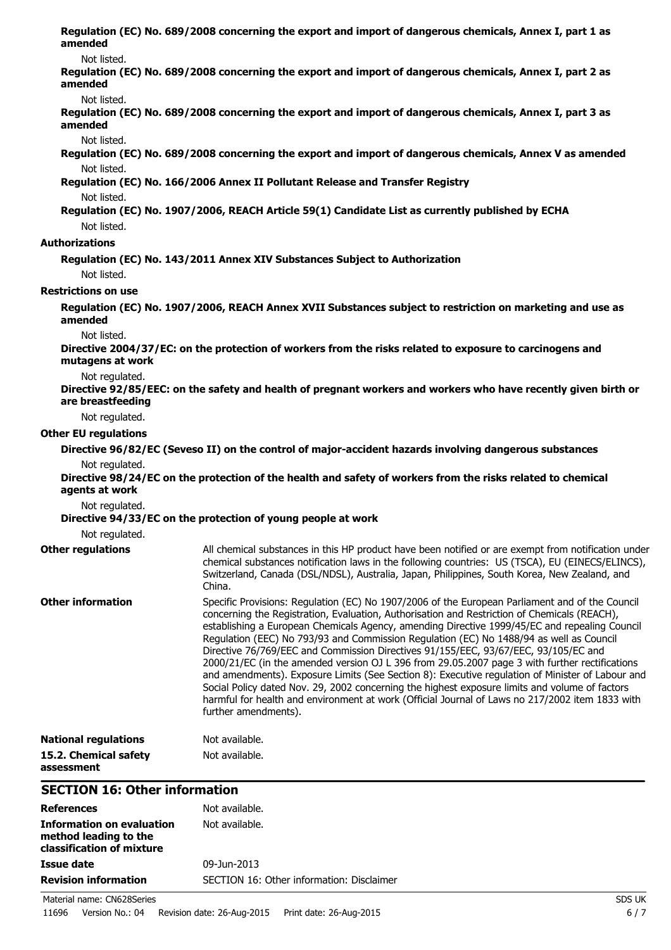| amended                              | Regulation (EC) No. 689/2008 concerning the export and import of dangerous chemicals, Annex I, part 1 as                                                                                                                                                                                                                                                                                                                                                                                                                                                                                                                                                                                                                                                                                                                                                                                                              |
|--------------------------------------|-----------------------------------------------------------------------------------------------------------------------------------------------------------------------------------------------------------------------------------------------------------------------------------------------------------------------------------------------------------------------------------------------------------------------------------------------------------------------------------------------------------------------------------------------------------------------------------------------------------------------------------------------------------------------------------------------------------------------------------------------------------------------------------------------------------------------------------------------------------------------------------------------------------------------|
| Not listed.<br>amended               | Regulation (EC) No. 689/2008 concerning the export and import of dangerous chemicals, Annex I, part 2 as                                                                                                                                                                                                                                                                                                                                                                                                                                                                                                                                                                                                                                                                                                                                                                                                              |
| Not listed.<br>amended               | Regulation (EC) No. 689/2008 concerning the export and import of dangerous chemicals, Annex I, part 3 as                                                                                                                                                                                                                                                                                                                                                                                                                                                                                                                                                                                                                                                                                                                                                                                                              |
| Not listed.                          |                                                                                                                                                                                                                                                                                                                                                                                                                                                                                                                                                                                                                                                                                                                                                                                                                                                                                                                       |
| Not listed.                          | Regulation (EC) No. 689/2008 concerning the export and import of dangerous chemicals, Annex V as amended                                                                                                                                                                                                                                                                                                                                                                                                                                                                                                                                                                                                                                                                                                                                                                                                              |
|                                      | Regulation (EC) No. 166/2006 Annex II Pollutant Release and Transfer Registry                                                                                                                                                                                                                                                                                                                                                                                                                                                                                                                                                                                                                                                                                                                                                                                                                                         |
| Not listed.                          | Regulation (EC) No. 1907/2006, REACH Article 59(1) Candidate List as currently published by ECHA                                                                                                                                                                                                                                                                                                                                                                                                                                                                                                                                                                                                                                                                                                                                                                                                                      |
| Not listed.                          |                                                                                                                                                                                                                                                                                                                                                                                                                                                                                                                                                                                                                                                                                                                                                                                                                                                                                                                       |
| <b>Authorizations</b>                |                                                                                                                                                                                                                                                                                                                                                                                                                                                                                                                                                                                                                                                                                                                                                                                                                                                                                                                       |
| Not listed.                          | Regulation (EC) No. 143/2011 Annex XIV Substances Subject to Authorization                                                                                                                                                                                                                                                                                                                                                                                                                                                                                                                                                                                                                                                                                                                                                                                                                                            |
| <b>Restrictions on use</b>           |                                                                                                                                                                                                                                                                                                                                                                                                                                                                                                                                                                                                                                                                                                                                                                                                                                                                                                                       |
| amended                              | Regulation (EC) No. 1907/2006, REACH Annex XVII Substances subject to restriction on marketing and use as                                                                                                                                                                                                                                                                                                                                                                                                                                                                                                                                                                                                                                                                                                                                                                                                             |
| Not listed.<br>mutagens at work      | Directive 2004/37/EC: on the protection of workers from the risks related to exposure to carcinogens and                                                                                                                                                                                                                                                                                                                                                                                                                                                                                                                                                                                                                                                                                                                                                                                                              |
| Not regulated.<br>are breastfeeding  | Directive 92/85/EEC: on the safety and health of pregnant workers and workers who have recently given birth or                                                                                                                                                                                                                                                                                                                                                                                                                                                                                                                                                                                                                                                                                                                                                                                                        |
| Not regulated.                       |                                                                                                                                                                                                                                                                                                                                                                                                                                                                                                                                                                                                                                                                                                                                                                                                                                                                                                                       |
| <b>Other EU regulations</b>          |                                                                                                                                                                                                                                                                                                                                                                                                                                                                                                                                                                                                                                                                                                                                                                                                                                                                                                                       |
|                                      | Directive 96/82/EC (Seveso II) on the control of major-accident hazards involving dangerous substances                                                                                                                                                                                                                                                                                                                                                                                                                                                                                                                                                                                                                                                                                                                                                                                                                |
| Not regulated.<br>agents at work     | Directive 98/24/EC on the protection of the health and safety of workers from the risks related to chemical                                                                                                                                                                                                                                                                                                                                                                                                                                                                                                                                                                                                                                                                                                                                                                                                           |
| Not regulated.                       | Directive 94/33/EC on the protection of young people at work                                                                                                                                                                                                                                                                                                                                                                                                                                                                                                                                                                                                                                                                                                                                                                                                                                                          |
| Not regulated.                       |                                                                                                                                                                                                                                                                                                                                                                                                                                                                                                                                                                                                                                                                                                                                                                                                                                                                                                                       |
| <b>Other regulations</b>             | All chemical substances in this HP product have been notified or are exempt from notification under<br>chemical substances notification laws in the following countries: US (TSCA), EU (EINECS/ELINCS),<br>Switzerland, Canada (DSL/NDSL), Australia, Japan, Philippines, South Korea, New Zealand, and<br>China.                                                                                                                                                                                                                                                                                                                                                                                                                                                                                                                                                                                                     |
| <b>Other information</b>             | Specific Provisions: Regulation (EC) No 1907/2006 of the European Parliament and of the Council<br>concerning the Registration, Evaluation, Authorisation and Restriction of Chemicals (REACH),<br>establishing a European Chemicals Agency, amending Directive 1999/45/EC and repealing Council<br>Regulation (EEC) No 793/93 and Commission Regulation (EC) No 1488/94 as well as Council<br>Directive 76/769/EEC and Commission Directives 91/155/EEC, 93/67/EEC, 93/105/EC and<br>2000/21/EC (in the amended version OJ L 396 from 29.05.2007 page 3 with further rectifications<br>and amendments). Exposure Limits (See Section 8): Executive regulation of Minister of Labour and<br>Social Policy dated Nov. 29, 2002 concerning the highest exposure limits and volume of factors<br>harmful for health and environment at work (Official Journal of Laws no 217/2002 item 1833 with<br>further amendments). |
| <b>National regulations</b>          | Not available.                                                                                                                                                                                                                                                                                                                                                                                                                                                                                                                                                                                                                                                                                                                                                                                                                                                                                                        |
| 15.2. Chemical safety<br>assessment  | Not available.                                                                                                                                                                                                                                                                                                                                                                                                                                                                                                                                                                                                                                                                                                                                                                                                                                                                                                        |
| <b>SECTION 16: Other information</b> |                                                                                                                                                                                                                                                                                                                                                                                                                                                                                                                                                                                                                                                                                                                                                                                                                                                                                                                       |
| <b>References</b>                    | Not available.                                                                                                                                                                                                                                                                                                                                                                                                                                                                                                                                                                                                                                                                                                                                                                                                                                                                                                        |
| <b>Information on evaluation</b>     | Not available.                                                                                                                                                                                                                                                                                                                                                                                                                                                                                                                                                                                                                                                                                                                                                                                                                                                                                                        |

| method leading to the<br>classification of mixture |                                           |        |
|----------------------------------------------------|-------------------------------------------|--------|
| Issue date                                         | 09-Jun-2013                               |        |
| <b>Revision information</b>                        | SECTION 16: Other information: Disclaimer |        |
| Material name: CN628Series                         |                                           | SDS UK |